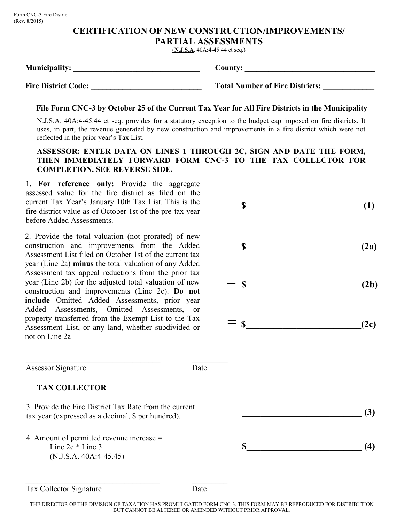# **CERTIFICATION OF NEW CONSTRUCTION/IMPROVEMENTS/ PARTIAL ASSESSMENTS**

(**N.J.S.A.** 40A:4-45.44 et seq.)

| <b>Municipality:</b>       | Countv:                                |
|----------------------------|----------------------------------------|
|                            |                                        |
| <b>Fire District Code:</b> | <b>Total Number of Fire Districts:</b> |

#### **File Form CNC-3 by October 25 of the Current Tax Year for All Fire Districts in the Municipality**

N.J.S.A. 40A:4-45.44 et seq. provides for a statutory exception to the budget cap imposed on fire districts. It uses, in part, the revenue generated by new construction and improvements in a fire district which were not reflected in the prior year's Tax List.

#### **ASSESSOR: ENTER DATA ON LINES 1 THROUGH 2C, SIGN AND DATE THE FORM, THEN IMMEDIATELY FORWARD FORM CNC-3 TO THE TAX COLLECTOR FOR COMPLETION. SEE REVERSE SIDE.**

1. **For reference only:** Provide the aggregate assessed value for the fire district as filed on the current Tax Year's January 10th Tax List. This is the fire district value as of October 1st of the pre-tax year before Added Assessments.

2. Provide the total valuation (not prorated) of new construction and improvements from the Added Assessment List filed on October 1st of the current tax year (Line 2a) **minus** the total valuation of any Added Assessment tax appeal reductions from the prior tax year (Line 2b) for the adjusted total valuation of new construction and improvements (Line 2c). **Do not include** Omitted Added Assessments, prior year Added Assessments, Omitted Assessments, or property transferred from the Exempt List to the Tax Assessment List, or any land, whether subdivided or not on Line 2a



Assessor Signature Date

### **TAX COLLECTOR**

3. Provide the Fire District Tax Rate from the current tax year (expressed as a decimal,  $\hat{S}$  per hundred).  $(3)$ 

\_\_\_\_\_\_\_\_\_\_\_\_\_\_\_\_\_\_\_\_\_\_\_\_\_\_\_\_\_\_\_\_\_\_ \_\_\_\_\_\_\_\_\_

4. Amount of permitted revenue increase = Line 2c \* Line 3 (N.J.S.A. 40A:4-45.45)

Tax Collector Signature Date

THE DIRECTOR OF THE DIVISION OF TAXATION HAS PROMULGATED FORM CNC-3. THIS FORM MAY BE REPRODUCED FOR DISTRIBUTION BUT CANNOT BE ALTERED OR AMENDED WITHOUT PRIOR APPROVAL.